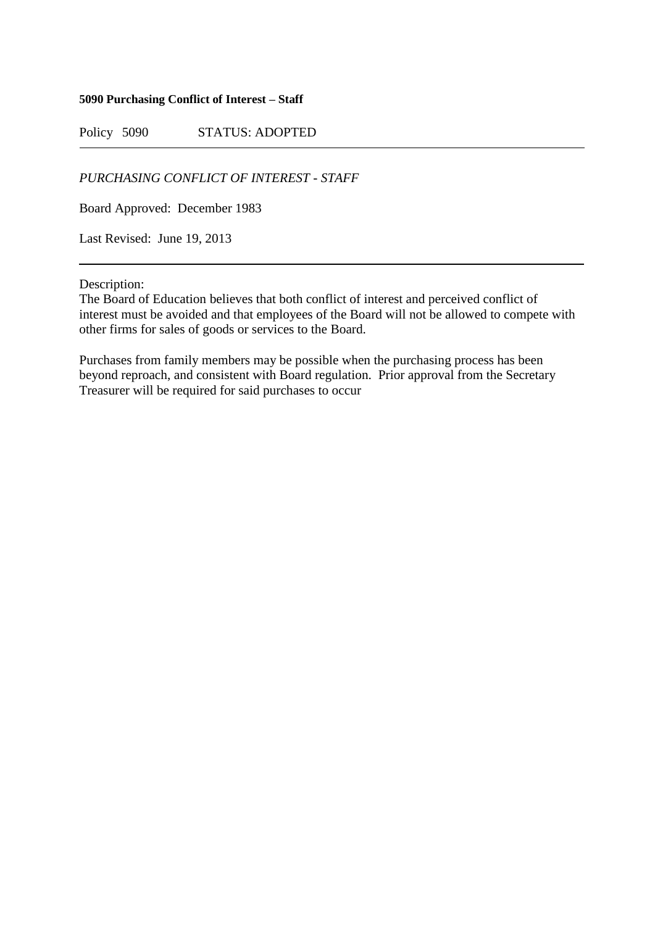## **5090 Purchasing Conflict of Interest – Staff**

Policy 5090 STATUS: ADOPTED

*PURCHASING CONFLICT OF INTEREST - STAFF*

Board Approved: December 1983

Last Revised: June 19, 2013

Description:

The Board of Education believes that both conflict of interest and perceived conflict of interest must be avoided and that employees of the Board will not be allowed to compete with other firms for sales of goods or services to the Board.

Purchases from family members may be possible when the purchasing process has been beyond reproach, and consistent with Board regulation. Prior approval from the Secretary Treasurer will be required for said purchases to occur